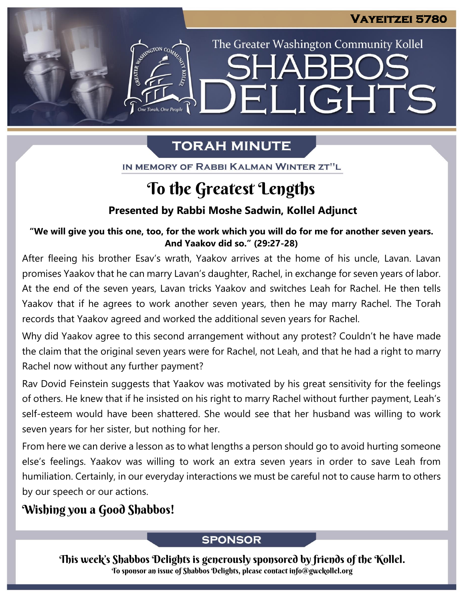The Greater Washington Community Kollel

LIGHTS

# **TORAH MINUTE**

FI

IN MEMORY OF RABBI KALMAN WINTER ZT"L

## To the Greatest Lengths

### **Presented by Rabbi Moshe Sadwin, Kollel Adjunct**

"We will give you this one, too, for the work which you will do for me for another seven years. **And Yaakov did so." (29:27-28) From our archives**

After fleeing his brother Esav's wrath, Yaakov arrives at the home of his uncle, Lavan. Lavan promises Yaakov that he can marry Lavan's daughter, Rachel, in exchange for seven years of labor. At the end of the seven years, Lavan tricks Yaakov and switches Leah for Rachel. He then tells Yaakov that if he agrees to work another seven years, then he may marry Rachel. The Torah records that Yaakov agreed and worked the additional seven years for Rachel.

Why did Yaakov agree to this second arrangement without any protest? Couldn't he have made the claim that the original seven years were for Rachel, not Leah, and that he had a right to marry Rachel now without any further payment?

Rav Dovid Feinstein suggests that Yaakov was motivated by his great sensitivity for the feelings of others. He knew that if he insisted on his right to marry Rachel without further payment, Leah's self-esteem would have been shattered. She would see that her husband was willing to work seven years for her sister, but nothing for her.

From here we can derive a lesson as to what lengths a person should go to avoid hurting someone else's feelings. Yaakov was willing to work an extra seven years in order to save Leah from humiliation. Certainly, in our everyday interactions we must be careful not to cause harm to others by our speech or our actions.

## Wishing you a Good Shabbos!

### **SPONSOR**

This week's Shabbos Delights is generously sponsored by friends of the Kollel. To sponsor an issue of Shabbos Delights, please contact info@gwckollel.org